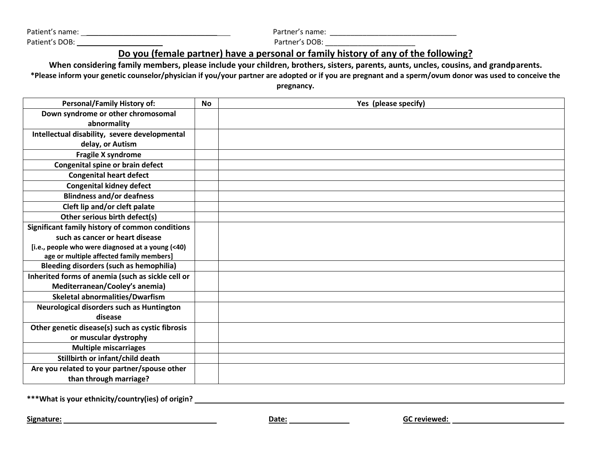Patient's name: \_\_\_\_\_\_\_\_\_\_\_\_\_\_\_\_\_\_\_\_\_\_\_\_\_\_\_\_\_\_\_\_ Partner's name: \_\_\_\_\_\_\_\_\_\_\_\_\_\_\_\_\_\_\_\_\_\_\_\_\_\_\_\_\_\_\_

Patient's DOB: \_\_\_\_\_\_ Partner's DOB: \_\_\_\_\_\_\_\_\_\_\_\_\_\_\_\_\_\_\_\_\_\_

## **Do you (female partner) have a personal or family history of any of the following?**

**When considering family members, please include your children, brothers, sisters, parents, aunts, uncles, cousins, and grandparents. \*Please inform your genetic counselor/physician if you/your partner are adopted or if you are pregnant and a sperm/ovum donor was used to conceive the** 

**pregnancy.**

| <b>Personal/Family History of:</b>                | <b>No</b> | Yes (please specify) |
|---------------------------------------------------|-----------|----------------------|
| Down syndrome or other chromosomal                |           |                      |
| abnormality                                       |           |                      |
| Intellectual disability, severe developmental     |           |                      |
| delay, or Autism                                  |           |                      |
| Fragile X syndrome                                |           |                      |
| Congenital spine or brain defect                  |           |                      |
| <b>Congenital heart defect</b>                    |           |                      |
| <b>Congenital kidney defect</b>                   |           |                      |
| <b>Blindness and/or deafness</b>                  |           |                      |
| Cleft lip and/or cleft palate                     |           |                      |
| Other serious birth defect(s)                     |           |                      |
| Significant family history of common conditions   |           |                      |
| such as cancer or heart disease                   |           |                      |
| [i.e., people who were diagnosed at a young (<40) |           |                      |
| age or multiple affected family members]          |           |                      |
| <b>Bleeding disorders (such as hemophilia)</b>    |           |                      |
| Inherited forms of anemia (such as sickle cell or |           |                      |
| Mediterranean/Cooley's anemia)                    |           |                      |
| Skeletal abnormalities/Dwarfism                   |           |                      |
| Neurological disorders such as Huntington         |           |                      |
| disease                                           |           |                      |
| Other genetic disease(s) such as cystic fibrosis  |           |                      |
| or muscular dystrophy                             |           |                      |
| <b>Multiple miscarriages</b>                      |           |                      |
| Stillbirth or infant/child death                  |           |                      |
| Are you related to your partner/spouse other      |           |                      |
| than through marriage?                            |           |                      |

**\*\*\*What is your ethnicity/country(ies) of origin?** 

**Signature: CONSIDERENT CONSIDERENT CONSIDERED ASSOCIATES AND <b>GC reviewed: GC reviewed: GC** reviewed: